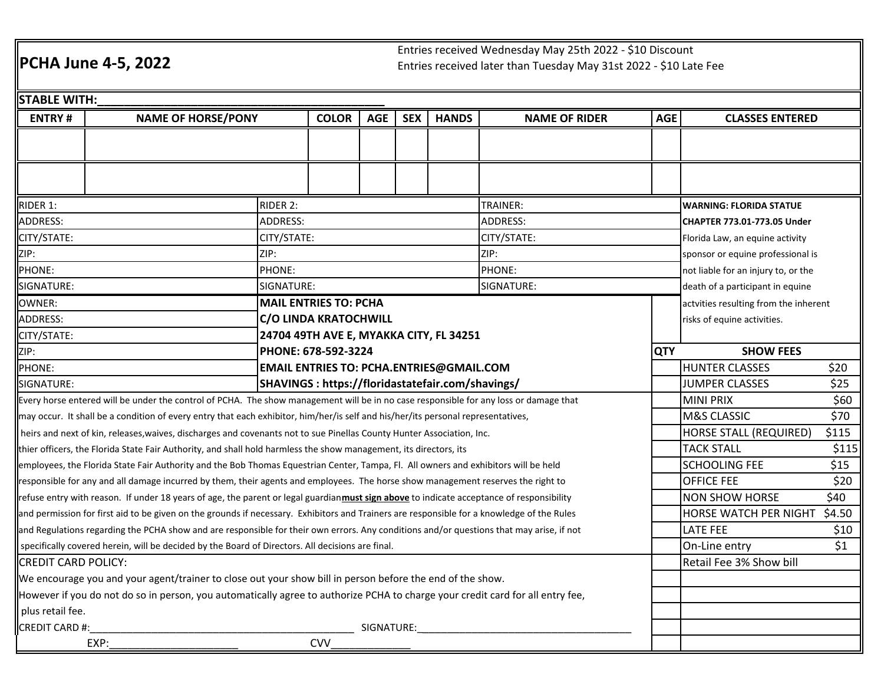## **PCHA June 4-5, 2022**

Entries received Wednesday May 25th 2022 - \$10 DiscountEntries received later than Tuesday May 31st 2022 - \$10 Late Fee

| <b>STABLE WITH:</b>                                                                                                                              |                                                                                                                                |                                    |                              |            |              |                      |                                     |                                       |        |  |
|--------------------------------------------------------------------------------------------------------------------------------------------------|--------------------------------------------------------------------------------------------------------------------------------|------------------------------------|------------------------------|------------|--------------|----------------------|-------------------------------------|---------------------------------------|--------|--|
| <b>ENTRY#</b><br><b>NAME OF HORSE/PONY</b>                                                                                                       |                                                                                                                                | <b>COLOR</b>                       | <b>AGE</b>                   | <b>SEX</b> | <b>HANDS</b> | <b>NAME OF RIDER</b> | <b>AGE</b>                          | <b>CLASSES ENTERED</b>                |        |  |
|                                                                                                                                                  |                                                                                                                                |                                    |                              |            |              |                      |                                     |                                       |        |  |
|                                                                                                                                                  |                                                                                                                                |                                    |                              |            |              |                      |                                     |                                       |        |  |
|                                                                                                                                                  |                                                                                                                                |                                    |                              |            |              |                      |                                     |                                       |        |  |
|                                                                                                                                                  |                                                                                                                                |                                    |                              |            |              |                      |                                     |                                       |        |  |
| RIDER 1:                                                                                                                                         | RIDER 2:<br>TRAINER:                                                                                                           |                                    |                              |            |              |                      | <b>WARNING: FLORIDA STATUE</b>      |                                       |        |  |
| <b>ADDRESS:</b>                                                                                                                                  |                                                                                                                                | <b>ADDRESS:</b><br><b>ADDRESS:</b> |                              |            |              |                      |                                     | CHAPTER 773.01-773.05 Under           |        |  |
| CITY/STATE:<br>CITY/STATE:                                                                                                                       |                                                                                                                                | CITY/STATE:                        |                              |            |              |                      | Florida Law, an equine activity     |                                       |        |  |
| ZIP:<br>ZIP:                                                                                                                                     |                                                                                                                                | ZIP:                               |                              |            |              |                      | sponsor or equine professional is   |                                       |        |  |
| PHONE:<br>PHONE:                                                                                                                                 |                                                                                                                                | PHONE:                             |                              |            |              |                      | not liable for an injury to, or the |                                       |        |  |
| SIGNATURE:                                                                                                                                       |                                                                                                                                | SIGNATURE:<br>SIGNATURE:           |                              |            |              |                      |                                     | death of a participant in equine      |        |  |
| <b>MAIL ENTRIES TO: PCHA</b><br>OWNER:                                                                                                           |                                                                                                                                |                                    |                              |            |              |                      |                                     | actvities resulting from the inherent |        |  |
| <b>ADDRESS:</b>                                                                                                                                  |                                                                                                                                |                                    | <b>C/O LINDA KRATOCHWILL</b> |            |              |                      |                                     | risks of equine activities.           |        |  |
| 24704 49TH AVE E, MYAKKA CITY, FL 34251<br>CITY/STATE:                                                                                           |                                                                                                                                |                                    |                              |            |              |                      |                                     |                                       |        |  |
| PHONE: 678-592-3224<br>ZIP:                                                                                                                      |                                                                                                                                |                                    |                              |            |              |                      | <b>QTY</b>                          | <b>SHOW FEES</b>                      |        |  |
| <b>EMAIL ENTRIES TO: PCHA.ENTRIES@GMAIL.COM</b><br><b>PHONE:</b>                                                                                 |                                                                                                                                |                                    |                              |            |              |                      |                                     | <b>HUNTER CLASSES</b>                 | \$20   |  |
| SHAVINGS : https://floridastatefair.com/shavings/<br>SIGNATURE:                                                                                  |                                                                                                                                |                                    |                              |            |              |                      | <b>JUMPER CLASSES</b>               | \$25                                  |        |  |
| Every horse entered will be under the control of PCHA. The show management will be in no case responsible for any loss or damage that            |                                                                                                                                |                                    |                              |            |              |                      |                                     | <b>MINI PRIX</b>                      | \$60   |  |
| may occur. It shall be a condition of every entry that each exhibitor, him/her/is self and his/her/its personal representatives,                 |                                                                                                                                |                                    |                              |            |              |                      |                                     | <b>M&amp;S CLASSIC</b>                | \$70   |  |
| heirs and next of kin, releases, waives, discharges and covenants not to sue Pinellas County Hunter Association, Inc.                            |                                                                                                                                |                                    |                              |            |              |                      |                                     | <b>HORSE STALL (REQUIRED)</b>         | \$115  |  |
| thier officers, the Florida State Fair Authority, and shall hold harmless the show management, its directors, its                                |                                                                                                                                |                                    |                              |            |              |                      |                                     | <b>TACK STALL</b>                     | \$115  |  |
| employees, the Florida State Fair Authority and the Bob Thomas Equestrian Center, Tampa, Fl. All owners and exhibitors will be held              |                                                                                                                                |                                    |                              |            |              |                      | <b>SCHOOLING FEE</b>                | \$15                                  |        |  |
| responsible for any and all damage incurred by them, their agents and employees. The horse show management reserves the right to                 |                                                                                                                                |                                    |                              |            |              |                      |                                     | <b>OFFICE FEE</b>                     | \$20   |  |
| refuse entry with reason. If under 18 years of age, the parent or legal guardian <b>must sign above</b> to indicate acceptance of responsibility |                                                                                                                                |                                    |                              |            |              |                      |                                     | <b>NON SHOW HORSE</b>                 | \$40   |  |
| and permission for first aid to be given on the grounds if necessary. Exhibitors and Trainers are responsible for a knowledge of the Rules       |                                                                                                                                |                                    |                              |            |              |                      |                                     | HORSE WATCH PER NIGHT                 | \$4.50 |  |
| and Regulations regarding the PCHA show and are responsible for their own errors. Any conditions and/or questions that may arise, if not         |                                                                                                                                |                                    |                              |            |              |                      |                                     | LATE FEE                              | \$10   |  |
| specifically covered herein, will be decided by the Board of Directors. All decisions are final.                                                 |                                                                                                                                |                                    |                              |            |              |                      |                                     | On-Line entry                         | \$1    |  |
| <b>CREDIT CARD POLICY:</b>                                                                                                                       |                                                                                                                                |                                    |                              |            |              |                      |                                     | Retail Fee 3% Show bill               |        |  |
| We encourage you and your agent/trainer to close out your show bill in person before the end of the show.                                        |                                                                                                                                |                                    |                              |            |              |                      |                                     |                                       |        |  |
|                                                                                                                                                  | However if you do not do so in person, you automatically agree to authorize PCHA to charge your credit card for all entry fee, |                                    |                              |            |              |                      |                                     |                                       |        |  |
| plus retail fee.                                                                                                                                 |                                                                                                                                |                                    |                              |            |              |                      |                                     |                                       |        |  |
| <b>CREDIT CARD #:</b><br>SIGNATURE:                                                                                                              |                                                                                                                                |                                    |                              |            |              |                      |                                     |                                       |        |  |
| EXP:                                                                                                                                             |                                                                                                                                | <b>CVV</b>                         |                              |            |              |                      |                                     |                                       |        |  |